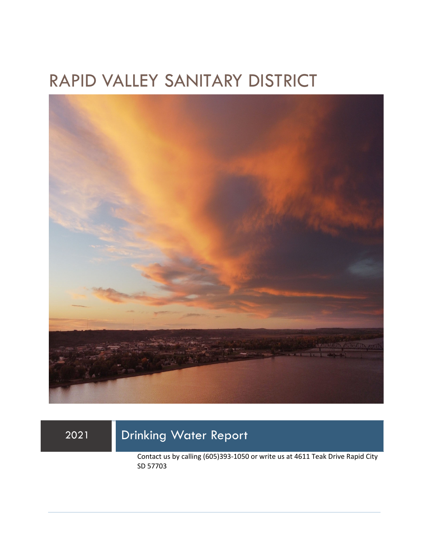## RAPID VALLEY SANITARY DISTRICT



### 2021 Drinking Water Report

Contact us by calling (605)393-1050 or write us at 4611 Teak Drive Rapid City SD 57703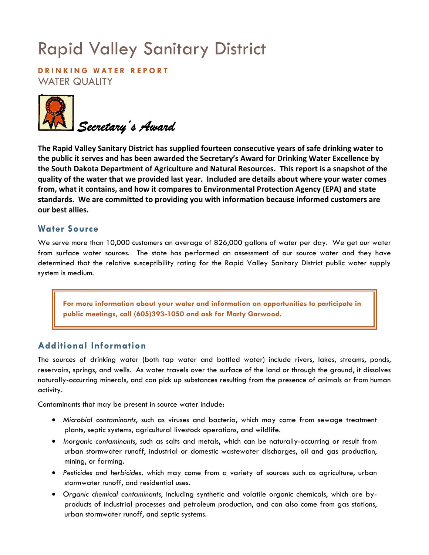# Rapid Valley Sanitary District

**DRINKING WATER REPORT**  WATER QUALITY



**The Rapid Valley Sanitary District has supplied fourteen consecutive years of safe drinking water to the public it serves and has been awarded the Secretary's Award for Drinking Water Excellence by the South Dakota Department of Agriculture and Natural Resources. This report is a snapshot of the quality of the water that we provided last year. Included are details about where your water comes from, what it contains, and how it compares to Environmental Protection Agency (EPA) and state standards. We are committed to providing you with information because informed customers are our best allies.** 

#### **Water Source**

We serve more than 10,000 customers an average of 826,000 gallons of water per day. We get our water from surface water sources. The state has performed an assessment of our source water and they have determined that the relative susceptibility rating for the Rapid Valley Sanitary District public water supply system is medium.

**For more information about your water and information on opportunities to participate in public meetings, call (605)393-1050 and ask for Marty Garwood.** 

#### **Additional Information**

The sources of drinking water (both tap water and bottled water) include rivers, lakes, streams, ponds, reservoirs, springs, and wells. As water travels over the surface of the land or through the ground, it dissolves naturally-occurring minerals, and can pick up substances resulting from the presence of animals or from human activity.

Contaminants that may be present in source water include:

- *Microbial contaminants*, such as viruses and bacteria, which may come from sewage treatment plants, septic systems, agricultural livestock operations, and wildlife.
- *Inorganic contaminants*, such as salts and metals, which can be naturally-occurring or result from urban stormwater runoff, industrial or domestic wastewater discharges, oil and gas production, mining, or farming.
- *Pesticides and herbicides,* which may come from a variety of sources such as agriculture, urban stormwater runoff, and residential uses.
- *Organic chemical contaminants*, including synthetic and volatile organic chemicals, which are byproducts of industrial processes and petroleum production, and can also come from gas stations, urban stormwater runoff, and septic systems.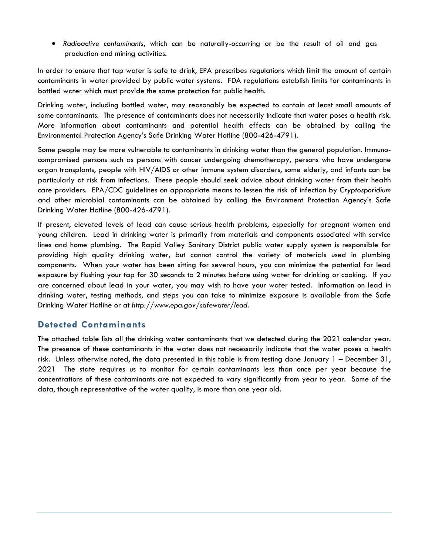• *Radioactive contaminants*, which can be naturally-occurring or be the result of oil and gas production and mining activities.

In order to ensure that tap water is safe to drink, EPA prescribes regulations which limit the amount of certain contaminants in water provided by public water systems. FDA regulations establish limits for contaminants in bottled water which must provide the same protection for public health.

Drinking water, including bottled water, may reasonably be expected to contain at least small amounts of some contaminants. The presence of contaminants does not necessarily indicate that water poses a health risk. More information about contaminants and potential health effects can be obtained by calling the Environmental Protection Agency's Safe Drinking Water Hotline (800-426-4791).

Some people may be more vulnerable to contaminants in drinking water than the general population. Immunocompromised persons such as persons with cancer undergoing chemotherapy, persons who have undergone organ transplants, people with HIV/AIDS or other immune system disorders, some elderly, and infants can be particularly at risk from infections. These people should seek advice about drinking water from their health care providers. EPA/CDC guidelines on appropriate means to lessen the risk of infection by *Cryptosporidium* and other microbial contaminants can be obtained by calling the Environment Protection Agency's Safe Drinking Water Hotline (800-426-4791).

If present, elevated levels of lead can cause serious health problems, especially for pregnant women and young children. Lead in drinking water is primarily from materials and components associated with service lines and home plumbing. The Rapid Valley Sanitary District public water supply system is responsible for providing high quality drinking water, but cannot control the variety of materials used in plumbing components. When your water has been sitting for several hours, you can minimize the potential for lead exposure by flushing your tap for 30 seconds to 2 minutes before using water for drinking or cooking. If you are concerned about lead in your water, you may wish to have your water tested. Information on lead in drinking water, testing methods, and steps you can take to minimize exposure is available from the Safe Drinking Water Hotline or at *http://www.epa.gov/safewater/lead*.

#### **Detected Contaminants**

The attached table lists all the drinking water contaminants that we detected during the 2021 calendar year. The presence of these contaminants in the water does not necessarily indicate that the water poses a health risk. Unless otherwise noted, the data presented in this table is from testing done January 1 – December 31, 2021 The state requires us to monitor for certain contaminants less than once per year because the concentrations of these contaminants are not expected to vary significantly from year to year. Some of the data, though representative of the water quality, is more than one year old.